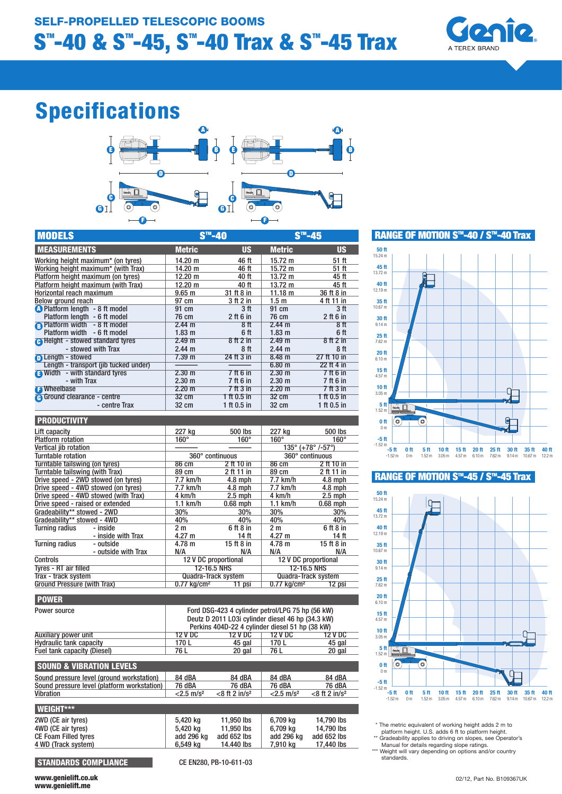

# Specifications



| <b>MODELS</b>                           | $STM$ -40         |                 | $S^{\text{m}}$ -45 |                 |
|-----------------------------------------|-------------------|-----------------|--------------------|-----------------|
| <b>MEASUREMENTS</b>                     | <b>Metric</b>     | <b>US</b>       | <b>Metric</b>      | <b>US</b>       |
| Working height maximum* (on tyres)      | 14.20 m           | 46 ft           | $15.72 \text{ m}$  | 51 ft           |
| Working height maximum* (with Trax)     | 14.20 m           | 46 ft           | $15.72 \text{ m}$  | 51 ft           |
| Platform height maximum (on tyres)      | $12.20 \text{ m}$ | 40 ft           | $13.72 \text{ m}$  | 45 ft           |
| Platform height maximum (with Trax)     | $12.20 \text{ m}$ | 40 ft           | $13.72 \text{ m}$  | 45 ft           |
| Horizontal reach maximum                | 9.65 <sub>m</sub> | 31 ft 8 in      | 11.18 $m$          | 36 ft 8 in      |
| Below ground reach                      | 97 cm             | 3 ft 2 in       | 1.5m               | 4 ft 11 in      |
| <b>O</b> Platform length - 8 ft model   | 91 cm             | 3 <sub>ft</sub> | 91 cm              | 3 <sup>ft</sup> |
| Platform length - 6 ft model            | 76 cm             | $2$ ft 6 in     | 76 cm              | $2$ ft 6 in     |
| <b>B</b> Platform width - 8 ft model    | 2.44 m            | 8ft             | 2.44 m             | 8ff             |
| Platform width<br>- 6 ft model          | 1.83 <sub>m</sub> | 6 ft            | 1.83 <sub>m</sub>  | 6 ft            |
| <b>A</b> Height - stowed standard tyres | 2.49 m            | 8ft2in          | 2.49 m             | 8ft2in          |
| - stowed with Trax                      | $2.44 \text{ m}$  | 8ft             | $2.44 \text{ m}$   | 8 <sup>ft</sup> |
| <b>n</b> Length - stowed                | 7.39 m            | 24 ft 3 in      | 8.48 m             | 27 ft 10 in     |
| Length - transport (jib tucked under)   |                   |                 | $6.80$ m           | 22 ft 4 in      |
| Width - with standard tyres             | $2.30 \text{ m}$  | 7 ft 6 in       | $2.30 \text{ m}$   | 7 ft 6 in       |
| - with Trax                             | 2.30 m            | 7 ft 6 in       | $2.30 \text{ m}$   | 7 ft 6 in       |
| <b>B</b> Wheelbase                      | $2.20 \text{ m}$  | 7 ft 3 in       | $2.20 \text{ m}$   | $7$ ft $3$ in   |
| <b>A</b> Ground clearance - centre      | $32 \text{ cm}$   | 1 ft 0.5 in     | 32 cm              | 1 ft 0.5 in     |
| - centre Trax                           | 32 cm             | 1 ft $0.5$ in   | 32 cm              | 1 ft $0.5$ in   |
|                                         |                   |                 |                    |                 |

| PRUDUGIIVII Y                        |                            |             |                                                 |             |
|--------------------------------------|----------------------------|-------------|-------------------------------------------------|-------------|
| Lift capacity                        | 227 kg                     | 500 lbs     | 227 ka                                          | 500 lbs     |
| <b>Platform rotation</b>             | $160^\circ$                | $160^\circ$ | $160^\circ$                                     | $160^\circ$ |
| Vertical <i>iib</i> rotation         |                            |             | $135^{\circ}$ (+78 $^{\circ}$ /-57 $^{\circ}$ ) |             |
| Turntable rotation                   | 360° continuous            |             | 360° continuous                                 |             |
| Turntable tailswing (on tyres)       | 86 cm                      | 2 ft 10 in  | 86 cm                                           | 2 ft 10 in  |
| Turntable tailswing (with Trax)      | 89 cm                      | 2 ft 11 in  | 89 cm                                           | 2 ft 11 in  |
| Drive speed - 2WD stowed (on tyres)  | 7.7 km/h                   | $4.8$ mph   | 7.7 km/h                                        | $4.8$ mph   |
| Drive speed - 4WD stowed (on tyres)  | 7.7 km/h                   | $4.8$ mph   | 7.7 km/h                                        | $4.8$ mph   |
| Drive speed - 4WD stowed (with Trax) | 4 km/h                     | $2.5$ mph   | 4 km/h                                          | $2.5$ mph   |
| Drive speed - raised or extended     | $1.1$ km/h                 | $0.68$ mph  | $1.1$ km/h                                      | $0.68$ mph  |
| Gradeability** stowed - 2WD          | 30%                        | 30%         | 30%                                             | 30%         |
| Gradeability** stowed - 4WD          | 40%                        | 40%         | 40%                                             | 40%         |
| <b>Turning radius</b><br>- inside    | 2 m                        | 6 ft 8 in   | 2 <sub>m</sub>                                  | 6 ft 8 in   |
| - inside with Trax                   | $4.27 \text{ m}$           | 14 ft       | $4.27 \text{ m}$                                | 14 ft       |
| <b>Turning radius</b><br>- outside   | 4.78 m                     | 15 ft 8 in  | $4.78 \text{ m}$                                | 15 ft 8 in  |
| - outside with Trax                  | N/A                        | N/A         | N/A                                             | N/A         |
| <b>Controls</b>                      | 12 V DC proportional       |             | 12 V DC proportional                            |             |
| Tyres - RT air filled                | <b>12-16.5 NHS</b>         |             | <b>12-16.5 NHS</b>                              |             |
| Trax - track system                  | <b>Quadra-Track system</b> |             | <b>Quadra-Track system</b>                      |             |
| Ground Pressure (with Trax)          | 0.77 kg/cm²                | 11 psi      | $0.77$ kg/cm <sup>2</sup>                       | 12 psi      |

| <b>POWER</b>                                |                                                                                                                                                          |                              |                          |                             |  |
|---------------------------------------------|----------------------------------------------------------------------------------------------------------------------------------------------------------|------------------------------|--------------------------|-----------------------------|--|
| Power source                                | Ford DSG-423 4 cylinder petrol/LPG 75 hp (56 kW)<br>Deutz D 2011 L03i cylinder diesel 46 hp (34.3 kW)<br>Perkins 404D-22 4 cylinder diesel 51 hp (38 kW) |                              |                          |                             |  |
| Auxiliary power unit                        | 12 V DC                                                                                                                                                  | 12 V DC                      | 12 V DC                  | <b>12 V DC</b>              |  |
| <b>Hydraulic tank capacity</b>              | 170L                                                                                                                                                     | 45 gal                       | 170L                     | 45 gal                      |  |
| Fuel tank capacity (Diesel)                 | 76 L                                                                                                                                                     | 20 gal                       | 76 L                     | 20 gal                      |  |
| <b>SOUND &amp; VIBRATION LEVELS</b>         |                                                                                                                                                          |                              |                          |                             |  |
| Sound pressure level (ground workstation)   | 84 dBA                                                                                                                                                   | 84 dBA                       | 84 dBA                   | 84 dBA                      |  |
| Sound pressure level (platform workstation) | 76 dBA                                                                                                                                                   | 76 dBA                       | <b>76 dBA</b>            | 76 dBA                      |  |
| Vibration                                   | $< 2.5$ m/s <sup>2</sup>                                                                                                                                 | $<$ 8 ft 2 in/s <sup>2</sup> | $< 2.5$ m/s <sup>2</sup> | $<8$ ft 2 in/s <sup>2</sup> |  |
| <b>WEIGHT***</b>                            |                                                                                                                                                          |                              |                          |                             |  |
| 2WD (CE air tyres)                          | 5,420 kg                                                                                                                                                 | 11,950 lbs                   | 6.709 kg                 | 14,790 lbs                  |  |
| 4WD (CE air tyres)                          | 5,420 kg                                                                                                                                                 | 11,950 lbs                   | 6,709 kg                 | 14.790 lbs                  |  |
| <b>CE Foam Filled tyres</b>                 | add 296 kg                                                                                                                                               | add 652 lbs                  | add 296 kg               | add 652 lbs                 |  |
| 4 WD (Track system)                         | 6.549 kg                                                                                                                                                 | 14.440 lbs                   | 7,910 kg                 | 17.440 lbs                  |  |
|                                             |                                                                                                                                                          |                              |                          |                             |  |

STANDARDS COMPLIANCE CE EN280, PB-10-611-03

WWW.genielift.co.uk 02/12, Part No. B109367UK www.genielift.me



### RANGE OF MOTION S™-45 / S™-45 Trax



\* The metric equivalent of working height adds 2 m to

platform height. U.S. adds 6 ft to platform height.<br>
\*\* Gradeability applies to driving on slopes, see Operator's<br>
Manual for details regarding slope ratings.<br>
\*\*\* Weight will vary depending on options and/or country

standards.